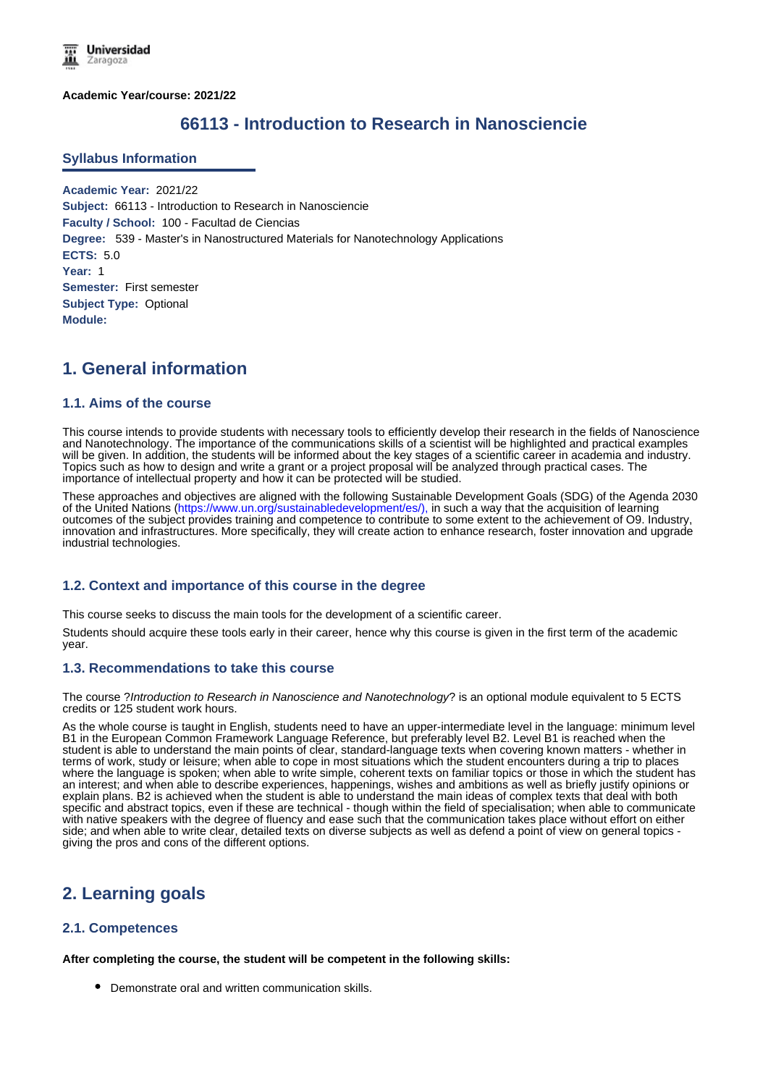**Academic Year/course: 2021/22**

# **66113 - Introduction to Research in Nanosciencie**

#### **Syllabus Information**

**Academic Year:** 2021/22 **Subject:** 66113 - Introduction to Research in Nanosciencie **Faculty / School:** 100 - Facultad de Ciencias **Degree:** 539 - Master's in Nanostructured Materials for Nanotechnology Applications **ECTS:** 5.0 **Year:** 1 **Semester:** First semester **Subject Type:** Optional **Module:**

# **1. General information**

### **1.1. Aims of the course**

This course intends to provide students with necessary tools to efficiently develop their research in the fields of Nanoscience and Nanotechnology. The importance of the communications skills of a scientist will be highlighted and practical examples will be given. In addition, the students will be informed about the key stages of a scientific career in academia and industry. Topics such as how to design and write a grant or a project proposal will be analyzed through practical cases. The importance of intellectual property and how it can be protected will be studied.

These approaches and objectives are aligned with the following Sustainable Development Goals (SDG) of the Agenda 2030 of the United Nations (https://www.un.org/sustainabledevelopment/es/), in such a way that the acquisition of learning outcomes of the subject provides training and competence to contribute to some extent to the achievement of O9. Industry, innovation and infrastructures. More specifically, they will create action to enhance research, foster innovation and upgrade industrial technologies.

### **1.2. Context and importance of this course in the degree**

This course seeks to discuss the main tools for the development of a scientific career.

Students should acquire these tools early in their career, hence why this course is given in the first term of the academic year.

### **1.3. Recommendations to take this course**

The course ?*Introduction to Research in Nanoscience and Nanotechnology*? is an optional module equivalent to 5 ECTS credits or 125 student work hours.

As the whole course is taught in English, students need to have an upper-intermediate level in the language: minimum level B1 in the European Common Framework Language Reference, but preferably level B2. Level B1 is reached when the student is able to understand the main points of clear, standard-language texts when covering known matters - whether in terms of work, study or leisure; when able to cope in most situations which the student encounters during a trip to places where the language is spoken; when able to write simple, coherent texts on familiar topics or those in which the student has an interest; and when able to describe experiences, happenings, wishes and ambitions as well as briefly justify opinions or explain plans. B2 is achieved when the student is able to understand the main ideas of complex texts that deal with both specific and abstract topics, even if these are technical - though within the field of specialisation; when able to communicate with native speakers with the degree of fluency and ease such that the communication takes place without effort on either side; and when able to write clear, detailed texts on diverse subjects as well as defend a point of view on general topics giving the pros and cons of the different options.

## **2. Learning goals**

### **2.1. Competences**

**After completing the course, the student will be competent in the following skills:**

Demonstrate oral and written communication skills.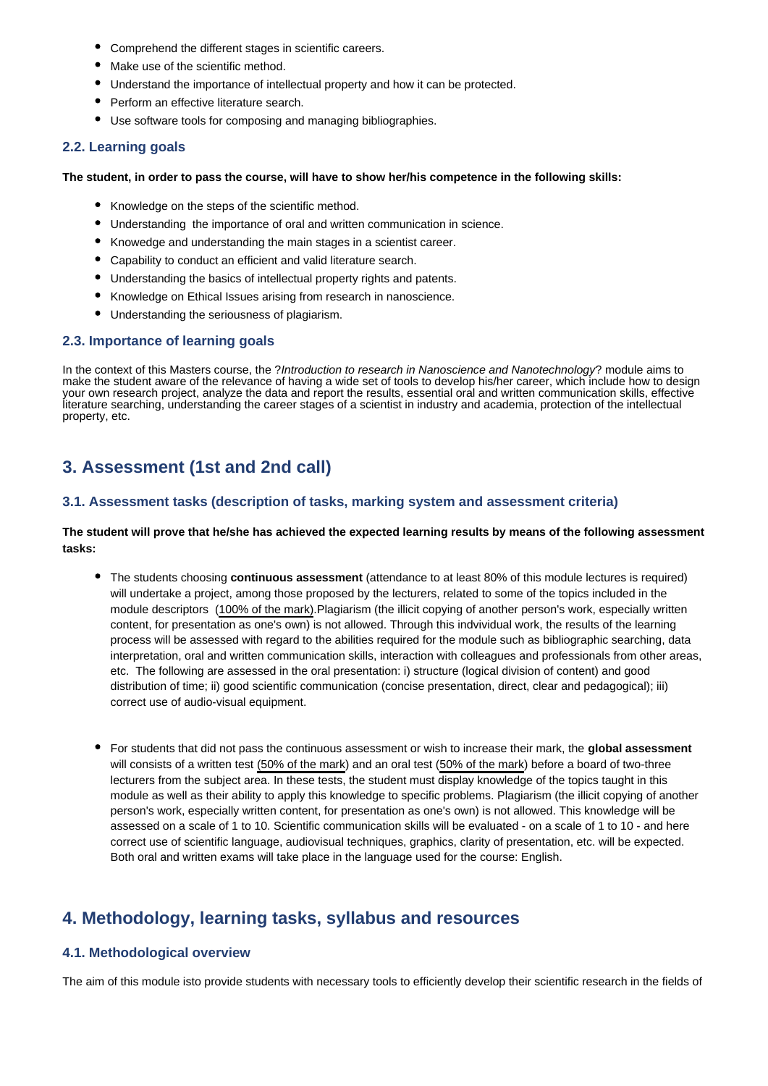- Comprehend the different stages in scientific careers.
- Make use of the scientific method.
- Understand the importance of intellectual property and how it can be protected.
- Perform an effective literature search.
- Use software tools for composing and managing bibliographies.

### **2.2. Learning goals**

#### **The student, in order to pass the course, will have to show her/his competence in the following skills:**

- Knowledge on the steps of the scientific method.
- Understanding the importance of oral and written communication in science.
- Knowedge and understanding the main stages in a scientist career.
- Capability to conduct an efficient and valid literature search.
- Understanding the basics of intellectual property rights and patents.
- Knowledge on Ethical Issues arising from research in nanoscience.
- Understanding the seriousness of plagiarism.

### **2.3. Importance of learning goals**

In the context of this Masters course, the ?*Introduction to research in Nanoscience and Nanotechnology*? module aims to make the student aware of the relevance of having a wide set of tools to develop his/her career, which include how to design your own research project, analyze the data and report the results, essential oral and written communication skills, effective literature searching, understanding the career stages of a scientist in industry and academia, protection of the intellectual property, etc.

# **3. Assessment (1st and 2nd call)**

### **3.1. Assessment tasks (description of tasks, marking system and assessment criteria)**

#### **The student will prove that he/she has achieved the expected learning results by means of the following assessment tasks:**

- The students choosing **continuous assessment** (attendance to at least 80% of this module lectures is required) will undertake a project, among those proposed by the lecturers, related to some of the topics included in the module descriptors (100% of the mark).Plagiarism (the illicit copying of another person's work, especially written content, for presentation as one's own) is not allowed. Through this indvividual work, the results of the learning process will be assessed with regard to the abilities required for the module such as bibliographic searching, data interpretation, oral and written communication skills, interaction with colleagues and professionals from other areas, etc. The following are assessed in the oral presentation: i) structure (logical division of content) and good distribution of time; ii) good scientific communication (concise presentation, direct, clear and pedagogical); iii) correct use of audio-visual equipment.
- For students that did not pass the continuous assessment or wish to increase their mark, the **global assessment** will consists of a written test (50% of the mark) and an oral test (50% of the mark) before a board of two-three lecturers from the subject area. In these tests, the student must display knowledge of the topics taught in this module as well as their ability to apply this knowledge to specific problems. Plagiarism (the illicit copying of another person's work, especially written content, for presentation as one's own) is not allowed. This knowledge will be assessed on a scale of 1 to 10. Scientific communication skills will be evaluated - on a scale of 1 to 10 - and here correct use of scientific language, audiovisual techniques, graphics, clarity of presentation, etc. will be expected. Both oral and written exams will take place in the language used for the course: English.

# **4. Methodology, learning tasks, syllabus and resources**

### **4.1. Methodological overview**

The aim of this module isto provide students with necessary tools to efficiently develop their scientific research in the fields of